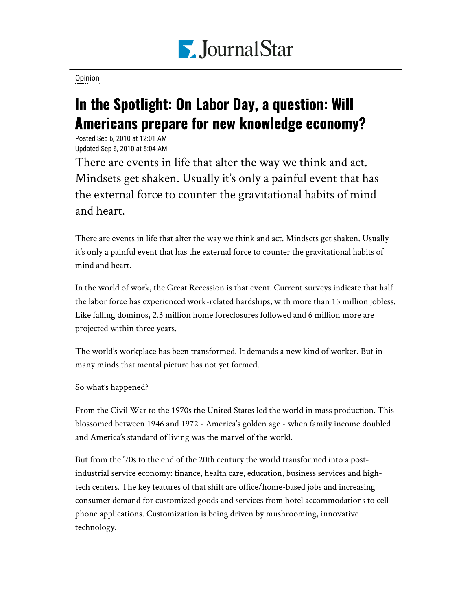

[Opinion](https://www.pjstar.com/search?text=Opinion)

## In the Spotlight: On Labor Day, a question: Will Americans prepare for new knowledge economy?

Posted Sep 6, 2010 at 12:01 AM Updated Sep 6, 2010 at 5:04 AM

There are events in life that alter the way we think and act. Mindsets get shaken. Usually it's only a painful event that has the external force to counter the gravitational habits of mind and heart.

There are events in life that alter the way we think and act. Mindsets get shaken. Usually it's only a painful event that has the external force to counter the gravitational habits of mind and heart.

In the world of work, the Great Recession is that event. Current surveys indicate that half the labor force has experienced work-related hardships, with more than 15 million jobless. Like falling dominos, 2.3 million home foreclosures followed and 6 million more are projected within three years.

The world's workplace has been transformed. It demands a new kind of worker. But in many minds that mental picture has not yet formed.

So what's happened?

From the Civil War to the 1970s the United States led the world in mass production. This blossomed between 1946 and 1972 - America's golden age - when family income doubled and America's standard of living was the marvel of the world.

But from the '70s to the end of the 20th century the world transformed into a postindustrial service economy: finance, health care, education, business services and hightech centers. The key features of that shift are office/home-based jobs and increasing consumer demand for customized goods and services from hotel accommodations to cell phone applications. Customization is being driven by mushrooming, innovative technology.